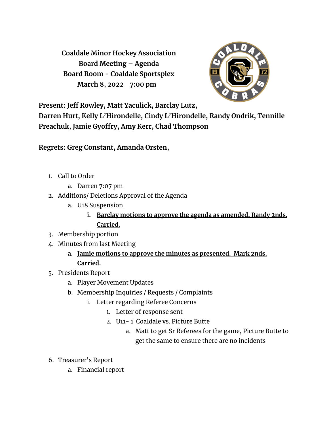**Coaldale Minor Hockey Association Board Meeting – Agenda Board Room - Coaldale Sportsplex March 8, 2022 7:00 pm**



**Present: Jeff Rowley, Matt Yaculick, Barclay Lutz,**

**Darren Hurt, Kelly L'Hirondelle, Cindy L'Hirondelle, Randy Ondrik, Tennille Preachuk, Jamie Gyoffry, Amy Kerr, Chad Thompson**

## **Regrets: Greg Constant, Amanda Orsten,**

- 1. Call to Order
	- a. Darren 7:07 pm
- 2. Additions/ Deletions Approval of the Agenda
	- a. U18 Suspension
		- **i. Barclay motions to approve the agenda as amended. Randy 2nds. Carried.**
- 3. Membership portion
- 4. Minutes from last Meeting
	- **a. Jamie motions to approve the minutes as presented. Mark 2nds. Carried.**
- 5. Presidents Report
	- a. Player Movement Updates
	- b. Membership Inquiries / Requests / Complaints
		- i. Letter regarding Referee Concerns
			- 1. Letter of response sent
			- 2. U11- 1 Coaldale vs. Picture Butte
				- a. Matt to get Sr Referees for the game, Picture Butte to get the same to ensure there are no incidents
- 6. Treasurer's Report
	- a. Financial report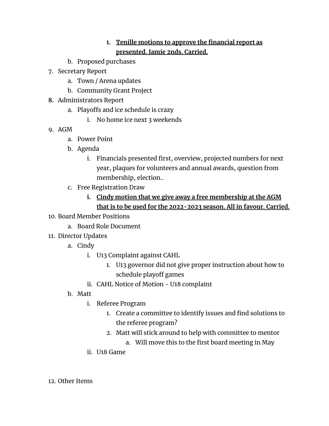## **1. Tenille motions to approve the financial report as presented. Jamie 2nds. Carried.**

- b. Proposed purchases
- 7. Secretary Report
	- a. Town / Arena updates
	- b. Community Grant Project
- **8.** Administrators Report
	- a. Playoffs and ice schedule is crazy
		- i. No home ice next 3 weekends
- 9. AGM
	- a. Power Point
	- b. Agenda
		- i. Financials presented first, overview, projected numbers for next year, plaques for volunteers and annual awards, question from membership, election..
	- c. Free Registration Draw
		- **i. Cindy motion that we give away a free membership at the AGM that is to be used for the 2022-2023 season. All in favour. Carried.**
- 10. Board Member Positions
	- a. Board Role Document
- 11. Director Updates
	- a. Cindy
		- i. U13 Complaint against CAHL
			- 1. U13 governor did not give proper instruction about how to schedule playoff games
		- ii. CAHL Notice of Motion U18 complaint
	- b. Matt
		- i. Referee Program
			- 1. Create a committee to identify issues and find solutions to the referee program?
			- 2. Matt will stick around to help with committee to mentor
				- a. Will move this to the first board meeting in May
		- ii. U18 Game

12. Other Items